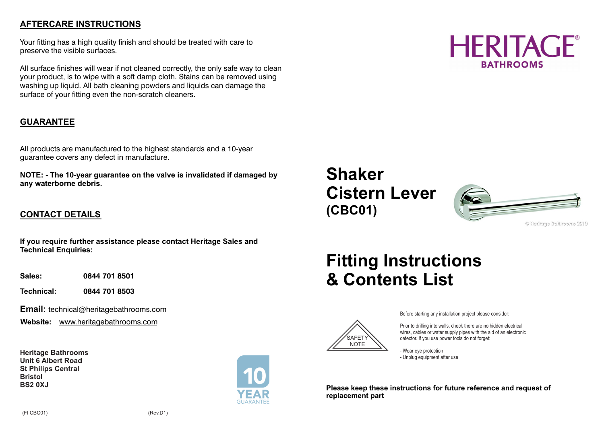## **AFTERCARE INSTRUCTIONS**

Your fitting has a high quality finish and should be treated with care to preserve the visible surfaces.

All surface finishes will wear if not cleaned correctly, the only safe way to clean your product, is to wipe with a soft damp cloth. Stains can be removed using washing up liquid. All bath cleaning powders and liquids can damage the surface of your fitting even the non-scratch cleaners.

### **GUARANTEE**

All products are manufactured to the highest standards and a 10-year guarantee covers any defect in manufacture.

**NOTE: - The 10-year guarantee on the valve is invalidated if damaged by any waterborne debris.** 

## **CONTACT DETAILS**

**If you require further assistance please contact Heritage Sales and Technical Enquiries:** 

**Sales: 0844 701 8501**

**Technical: 0844 701 8503** 

**Email:** technical@heritagebathrooms.com

**Website:** www.heritagebathrooms.com

**Heritage Bathrooms Unit 6 Albert Road St Philips Central Bristol BS2 0XJ**



# **HERITAGE BATHROOMS**

## **Shaker Cistern Lever (CBC01)**



0 leritase Baltirooms 2010

# **Fitting Instructions & Contents List**



Before starting any installation project please consider:

Prior to drilling into walls, check there are no hidden electrical wires, cables or water supply pipes with the aid of an electronic detector. If you use power tools do not forget:

- Wear eye protection - Unplug equipment after use

**Please keep these instructions for future reference and request of replacement part**